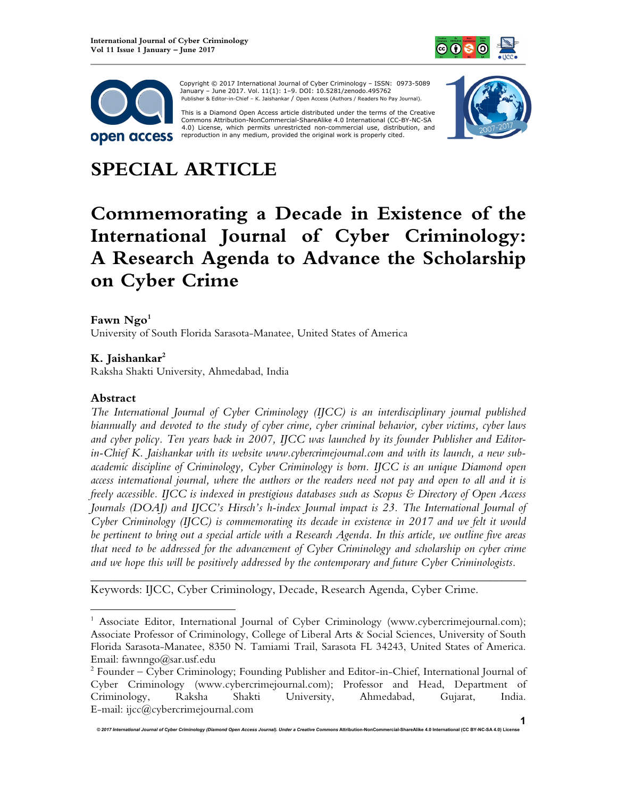



 Copyright © 2017 International Journal of Cyber Criminology – ISSN: 0973-5089 January – June 2017. Vol. 11(1): 1–9. DOI: 10.5281/zenodo.495762 Publisher & Editor-in-Chief – K. Jaishankar / Open Access (Authors / Readers No Pay Journal).

This is a Diamond Open Access article distributed under the terms of the Creative<br>Commons Attribution-NonCommercial-ShareAlike 4.0 International (CC-BY-NC-SA 4.0) License, which permits unrestricted non-commercial use, distribution, and reproduction in any medium, provided the original work is properly cited.



# **SPECIAL ARTICLE**

# **Commemorating a Decade in Existence of the International Journal of Cyber Criminology: A Research Agenda to Advance the Scholarship on Cyber Crime**

### **Fawn Ngo<sup>1</sup>**

University of South Florida Sarasota-Manatee, United States of America

# **K. Jaishankar<sup>2</sup>**

Raksha Shakti University, Ahmedabad, India

#### **Abstract**

 $\overline{a}$ 

*The International Journal of Cyber Criminology (IJCC) is an interdisciplinary journal published biannually and devoted to the study of cyber crime, cyber criminal behavior, cyber victims, cyber laws and cyber policy. Ten years back in 2007, IJCC was launched by its founder Publisher and Editorin-Chief K. Jaishankar with its website www.cybercrimejournal.com and with its launch, a new subacademic discipline of Criminology, Cyber Criminology is born. IJCC is an unique Diamond open access international journal, where the authors or the readers need not pay and open to all and it is freely accessible. IJCC is indexed in prestigious databases such as Scopus & Directory of Open Access Journals (DOAJ) and IJCC's Hirsch's h-index Journal impact is 23. The International Journal of Cyber Criminology (IJCC) is commemorating its decade in existence in 2017 and we felt it would be pertinent to bring out a special article with a Research Agenda. In this article, we outline five areas that need to be addressed for the advancement of Cyber Criminology and scholarship on cyber crime and we hope this will be positively addressed by the contemporary and future Cyber Criminologists.*

Keywords: IJCC, Cyber Criminology, Decade, Research Agenda, Cyber Crime.

*\_\_\_\_\_\_\_\_\_\_\_\_\_\_\_\_\_\_\_\_\_\_\_\_\_\_\_\_\_\_\_\_\_\_\_\_\_\_\_\_\_\_\_\_\_\_\_\_\_\_\_\_\_\_\_\_\_\_\_\_\_\_\_\_\_\_\_\_\_\_\_\_* 

© 2017 International Journal of Cyber Criminology (Diamond Open Access Journal). Under a Creative Commons Attribution-NonCommercial-ShareAlike 4.0 International (CC BY-NC-SA 4.0) Lic

<sup>&</sup>lt;sup>1</sup> Associate Editor, International Journal of Cyber Criminology (www.cybercrimejournal.com); Associate Professor of Criminology, College of Liberal Arts & Social Sciences, University of South Florida Sarasota-Manatee, 8350 N. Tamiami Trail, Sarasota FL 34243, United States of America. Email: fawnngo@sar.usf.edu

<sup>&</sup>lt;sup>2</sup> Founder – Cyber Criminology; Founding Publisher and Editor-in-Chief, International Journal of Cyber Criminology (www.cybercrimejournal.com); Professor and Head, Department of Criminology, Raksha Shakti University, Ahmedabad, Gujarat, India. E-mail: ijcc@cybercrimejournal.com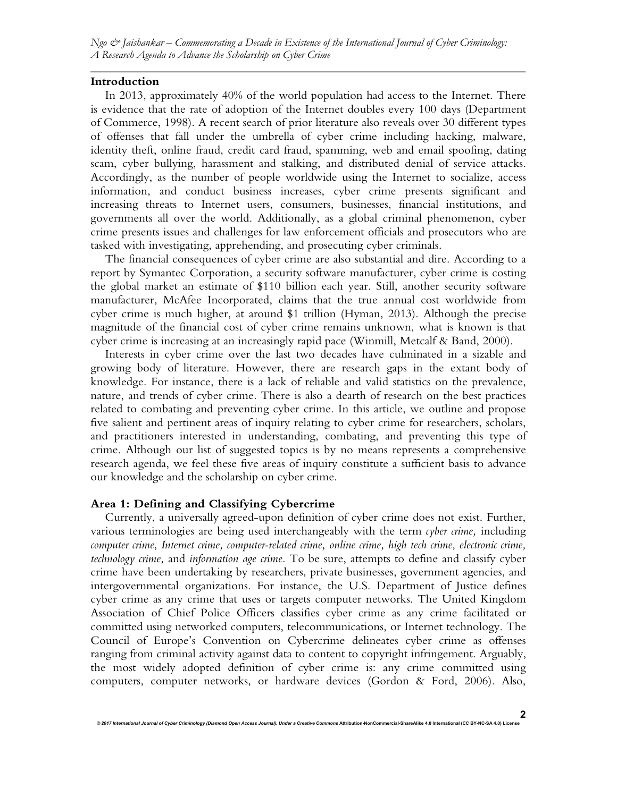*Ngo & Jaishankar – Commemorating a Decade in Existence of the International Journal of Cyber Criminology: A Research Agenda to Advance the Scholarship on Cyber Crime*

#### **Introduction**

In 2013, approximately 40% of the world population had access to the Internet. There is evidence that the rate of adoption of the Internet doubles every 100 days (Department of Commerce, 1998). A recent search of prior literature also reveals over 30 different types of offenses that fall under the umbrella of cyber crime including hacking, malware, identity theft, online fraud, credit card fraud, spamming, web and email spoofing, dating scam, cyber bullying, harassment and stalking, and distributed denial of service attacks. Accordingly, as the number of people worldwide using the Internet to socialize, access information, and conduct business increases, cyber crime presents significant and increasing threats to Internet users, consumers, businesses, financial institutions, and governments all over the world. Additionally, as a global criminal phenomenon, cyber crime presents issues and challenges for law enforcement officials and prosecutors who are tasked with investigating, apprehending, and prosecuting cyber criminals.

The financial consequences of cyber crime are also substantial and dire. According to a report by Symantec Corporation, a security software manufacturer, cyber crime is costing the global market an estimate of \$110 billion each year. Still, another security software manufacturer, McAfee Incorporated, claims that the true annual cost worldwide from cyber crime is much higher, at around \$1 trillion (Hyman, 2013). Although the precise magnitude of the financial cost of cyber crime remains unknown, what is known is that cyber crime is increasing at an increasingly rapid pace (Winmill, Metcalf & Band, 2000).

Interests in cyber crime over the last two decades have culminated in a sizable and growing body of literature. However, there are research gaps in the extant body of knowledge. For instance, there is a lack of reliable and valid statistics on the prevalence, nature, and trends of cyber crime. There is also a dearth of research on the best practices related to combating and preventing cyber crime. In this article, we outline and propose five salient and pertinent areas of inquiry relating to cyber crime for researchers, scholars, and practitioners interested in understanding, combating, and preventing this type of crime. Although our list of suggested topics is by no means represents a comprehensive research agenda, we feel these five areas of inquiry constitute a sufficient basis to advance our knowledge and the scholarship on cyber crime.

#### **Area 1: Defining and Classifying Cybercrime**

Currently, a universally agreed-upon definition of cyber crime does not exist. Further, various terminologies are being used interchangeably with the term *cyber crime,* including *computer crime*, *Internet crime, computer-related crime, online crime, high tech crime, electronic crime, technology crime,* and *information age crime.* To be sure, attempts to define and classify cyber crime have been undertaking by researchers, private businesses, government agencies, and intergovernmental organizations. For instance, the U.S. Department of Justice defines cyber crime as any crime that uses or targets computer networks. The United Kingdom Association of Chief Police Officers classifies cyber crime as any crime facilitated or committed using networked computers, telecommunications, or Internet technology. The Council of Europe's Convention on Cybercrime delineates cyber crime as offenses ranging from criminal activity against data to content to copyright infringement. Arguably, the most widely adopted definition of cyber crime is: any crime committed using computers, computer networks, or hardware devices (Gordon & Ford, 2006). Also,

*© 2017 International Journal of Cyber Criminology (Diamond Open Access Journal). Under a Creative Commons* **Attribution-NonCommercial-ShareAlike 4.0 International (CC BY-NC-SA 4.0) License**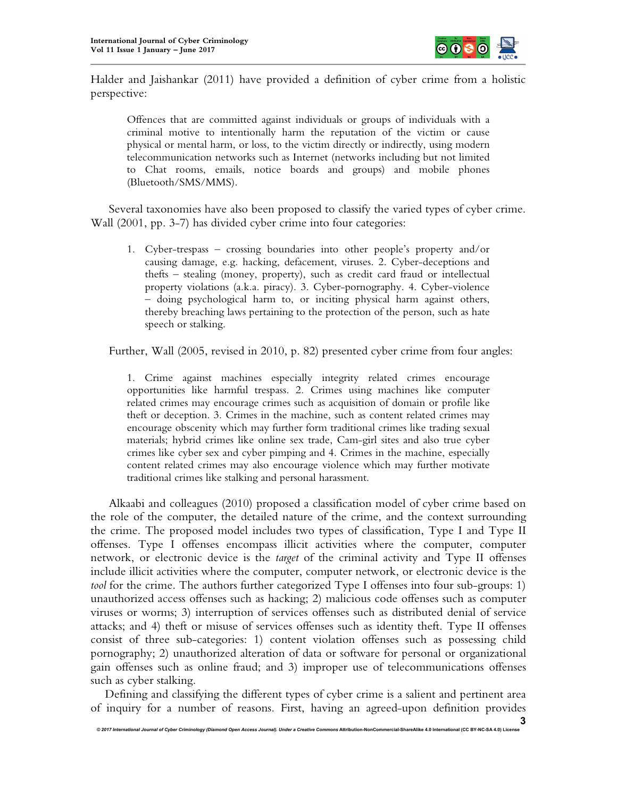

Halder and Jaishankar (2011) have provided a definition of cyber crime from a holistic perspective:

Offences that are committed against individuals or groups of individuals with a criminal motive to intentionally harm the reputation of the victim or cause physical or mental harm, or loss, to the victim directly or indirectly, using modern telecommunication networks such as Internet (networks including but not limited to Chat rooms, emails, notice boards and groups) and mobile phones (Bluetooth/SMS/MMS).

Several taxonomies have also been proposed to classify the varied types of cyber crime. Wall (2001, pp. 3-7) has divided cyber crime into four categories:

1. Cyber-trespass – crossing boundaries into other people's property and/or causing damage, e.g. hacking, defacement, viruses. 2. Cyber-deceptions and thefts – stealing (money, property), such as credit card fraud or intellectual property violations (a.k.a. piracy). 3. Cyber-pornography. 4. Cyber-violence – doing psychological harm to, or inciting physical harm against others, thereby breaching laws pertaining to the protection of the person, such as hate speech or stalking.

Further, Wall (2005, revised in 2010, p. 82) presented cyber crime from four angles:

1. Crime against machines especially integrity related crimes encourage opportunities like harmful trespass. 2. Crimes using machines like computer related crimes may encourage crimes such as acquisition of domain or profile like theft or deception. 3. Crimes in the machine, such as content related crimes may encourage obscenity which may further form traditional crimes like trading sexual materials; hybrid crimes like online sex trade, Cam-girl sites and also true cyber crimes like cyber sex and cyber pimping and 4. Crimes in the machine, especially content related crimes may also encourage violence which may further motivate traditional crimes like stalking and personal harassment.

Alkaabi and colleagues (2010) proposed a classification model of cyber crime based on the role of the computer, the detailed nature of the crime, and the context surrounding the crime. The proposed model includes two types of classification, Type I and Type II offenses. Type I offenses encompass illicit activities where the computer, computer network, or electronic device is the *target* of the criminal activity and Type II offenses include illicit activities where the computer, computer network, or electronic device is the *tool* for the crime. The authors further categorized Type I offenses into four sub-groups: 1) unauthorized access offenses such as hacking; 2) malicious code offenses such as computer viruses or worms; 3) interruption of services offenses such as distributed denial of service attacks; and 4) theft or misuse of services offenses such as identity theft. Type II offenses consist of three sub-categories: 1) content violation offenses such as possessing child pornography; 2) unauthorized alteration of data or software for personal or organizational gain offenses such as online fraud; and 3) improper use of telecommunications offenses such as cyber stalking.

Defining and classifying the different types of cyber crime is a salient and pertinent area of inquiry for a number of reasons. First, having an agreed-upon definition provides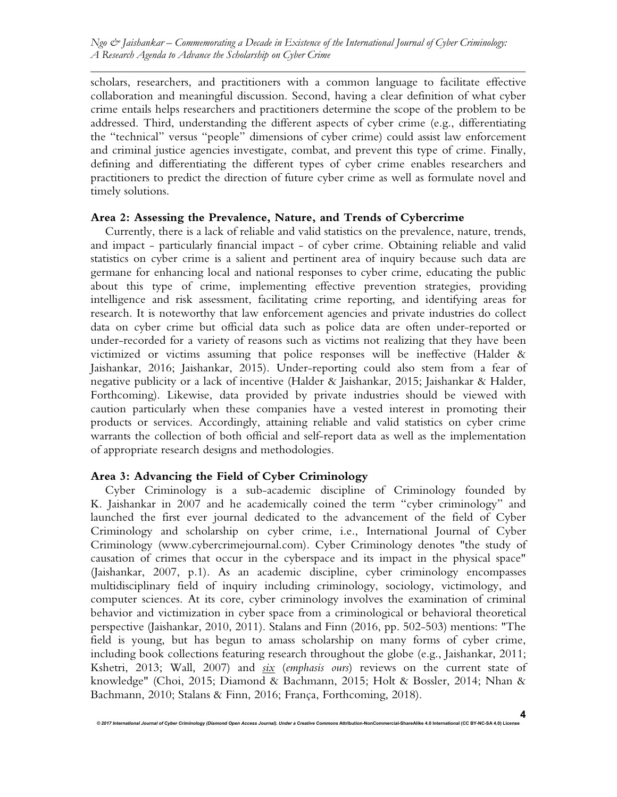scholars, researchers, and practitioners with a common language to facilitate effective collaboration and meaningful discussion. Second, having a clear definition of what cyber crime entails helps researchers and practitioners determine the scope of the problem to be addressed. Third, understanding the different aspects of cyber crime (e.g., differentiating the "technical" versus "people" dimensions of cyber crime) could assist law enforcement and criminal justice agencies investigate, combat, and prevent this type of crime. Finally, defining and differentiating the different types of cyber crime enables researchers and practitioners to predict the direction of future cyber crime as well as formulate novel and timely solutions.

### **Area 2: Assessing the Prevalence, Nature, and Trends of Cybercrime**

Currently, there is a lack of reliable and valid statistics on the prevalence, nature, trends, and impact - particularly financial impact - of cyber crime. Obtaining reliable and valid statistics on cyber crime is a salient and pertinent area of inquiry because such data are germane for enhancing local and national responses to cyber crime, educating the public about this type of crime, implementing effective prevention strategies, providing intelligence and risk assessment, facilitating crime reporting, and identifying areas for research. It is noteworthy that law enforcement agencies and private industries do collect data on cyber crime but official data such as police data are often under-reported or under-recorded for a variety of reasons such as victims not realizing that they have been victimized or victims assuming that police responses will be ineffective (Halder & Jaishankar, 2016; Jaishankar, 2015). Under-reporting could also stem from a fear of negative publicity or a lack of incentive (Halder & Jaishankar, 2015; Jaishankar & Halder, Forthcoming). Likewise, data provided by private industries should be viewed with caution particularly when these companies have a vested interest in promoting their products or services. Accordingly, attaining reliable and valid statistics on cyber crime warrants the collection of both official and self-report data as well as the implementation of appropriate research designs and methodologies.

# **Area 3: Advancing the Field of Cyber Criminology**

Cyber Criminology is a sub-academic discipline of Criminology founded by K. Jaishankar in 2007 and he academically coined the term "cyber criminology" and launched the first ever journal dedicated to the advancement of the field of Cyber Criminology and scholarship on cyber crime, i.e., International Journal of Cyber Criminology (www.cybercrimejournal.com). Cyber Criminology denotes "the study of causation of crimes that occur in the cyberspace and its impact in the physical space" (Jaishankar, 2007, p.1). As an academic discipline, cyber criminology encompasses multidisciplinary field of inquiry including criminology, sociology, victimology, and computer sciences. At its core, cyber criminology involves the examination of criminal behavior and victimization in cyber space from a criminological or behavioral theoretical perspective (Jaishankar, 2010, 2011). Stalans and Finn (2016, pp. 502-503) mentions: "The field is young, but has begun to amass scholarship on many forms of cyber crime, including book collections featuring research throughout the globe (e.g., Jaishankar, 2011; Kshetri, 2013; Wall, 2007) and *six* (*emphasis ours*) reviews on the current state of knowledge" (Choi, 2015; Diamond & Bachmann, 2015; Holt & Bossler, 2014; Nhan & Bachmann, 2010; Stalans & Finn, 2016; França, Forthcoming, 2018).

*© 2017 International Journal of Cyber Criminology (Diamond Open Access Journal). Under a Creative Commons* **Attribution-NonCommercial-ShareAlike 4.0 International (CC BY-NC-SA 4.0) License**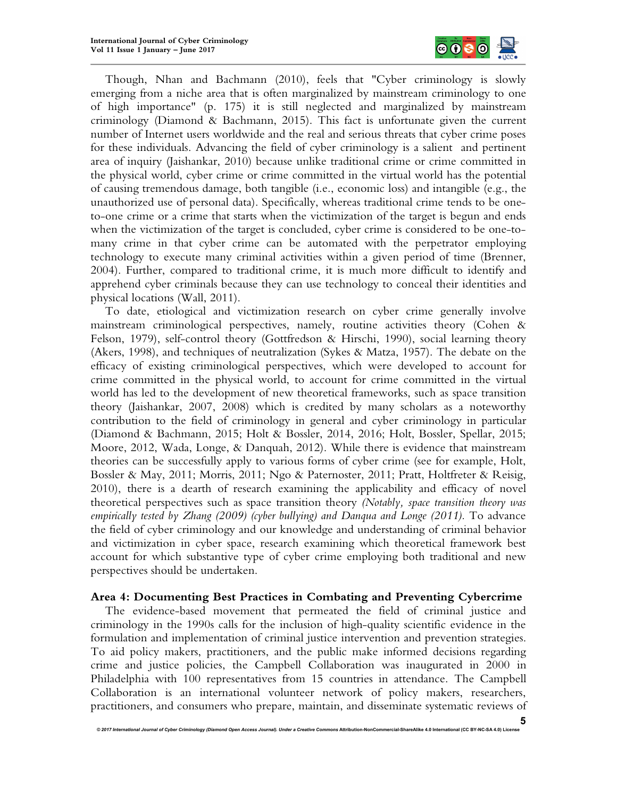

Though, Nhan and Bachmann (2010), feels that "Cyber criminology is slowly emerging from a niche area that is often marginalized by mainstream criminology to one of high importance" (p. 175) it is still neglected and marginalized by mainstream criminology (Diamond & Bachmann, 2015). This fact is unfortunate given the current number of Internet users worldwide and the real and serious threats that cyber crime poses for these individuals. Advancing the field of cyber criminology is a salient and pertinent area of inquiry (Jaishankar, 2010) because unlike traditional crime or crime committed in the physical world, cyber crime or crime committed in the virtual world has the potential of causing tremendous damage, both tangible (i.e., economic loss) and intangible (e.g., the unauthorized use of personal data). Specifically, whereas traditional crime tends to be oneto-one crime or a crime that starts when the victimization of the target is begun and ends when the victimization of the target is concluded, cyber crime is considered to be one-tomany crime in that cyber crime can be automated with the perpetrator employing technology to execute many criminal activities within a given period of time (Brenner, 2004). Further, compared to traditional crime, it is much more difficult to identify and apprehend cyber criminals because they can use technology to conceal their identities and physical locations (Wall, 2011).

To date, etiological and victimization research on cyber crime generally involve mainstream criminological perspectives, namely, routine activities theory (Cohen & Felson, 1979), self-control theory (Gottfredson & Hirschi, 1990), social learning theory (Akers, 1998), and techniques of neutralization (Sykes & Matza, 1957). The debate on the efficacy of existing criminological perspectives, which were developed to account for crime committed in the physical world, to account for crime committed in the virtual world has led to the development of new theoretical frameworks, such as space transition theory (Jaishankar, 2007, 2008) which is credited by many scholars as a noteworthy contribution to the field of criminology in general and cyber criminology in particular (Diamond & Bachmann, 2015; Holt & Bossler, 2014, 2016; Holt, Bossler, Spellar, 2015; Moore, 2012, Wada, Longe, & Danquah, 2012). While there is evidence that mainstream theories can be successfully apply to various forms of cyber crime (see for example, Holt, Bossler & May, 2011; Morris, 2011; Ngo & Paternoster, 2011; Pratt, Holtfreter & Reisig, 2010), there is a dearth of research examining the applicability and efficacy of novel theoretical perspectives such as space transition theory *(Notably, space transition theory was empirically tested by Zhang (2009) (cyber bullying) and Danqua and Longe (2011).* To advance the field of cyber criminology and our knowledge and understanding of criminal behavior and victimization in cyber space, research examining which theoretical framework best account for which substantive type of cyber crime employing both traditional and new perspectives should be undertaken.

#### **Area 4: Documenting Best Practices in Combating and Preventing Cybercrime**

The evidence-based movement that permeated the field of criminal justice and criminology in the 1990s calls for the inclusion of high-quality scientific evidence in the formulation and implementation of criminal justice intervention and prevention strategies. To aid policy makers, practitioners, and the public make informed decisions regarding crime and justice policies, the Campbell Collaboration was inaugurated in 2000 in Philadelphia with 100 representatives from 15 countries in attendance. The Campbell Collaboration is an international volunteer network of policy makers, researchers, practitioners, and consumers who prepare, maintain, and disseminate systematic reviews of

**<sup>5</sup>**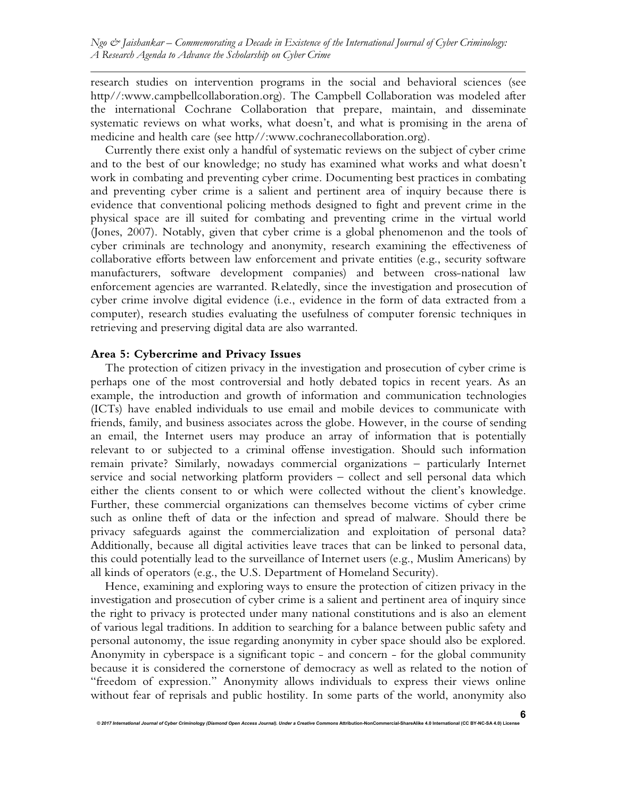research studies on intervention programs in the social and behavioral sciences (see http//:www.campbellcollaboration.org). The Campbell Collaboration was modeled after the international Cochrane Collaboration that prepare, maintain, and disseminate systematic reviews on what works, what doesn't, and what is promising in the arena of medicine and health care (see http//:www.cochranecollaboration.org).

Currently there exist only a handful of systematic reviews on the subject of cyber crime and to the best of our knowledge; no study has examined what works and what doesn't work in combating and preventing cyber crime. Documenting best practices in combating and preventing cyber crime is a salient and pertinent area of inquiry because there is evidence that conventional policing methods designed to fight and prevent crime in the physical space are ill suited for combating and preventing crime in the virtual world (Jones, 2007). Notably, given that cyber crime is a global phenomenon and the tools of cyber criminals are technology and anonymity, research examining the effectiveness of collaborative efforts between law enforcement and private entities (e.g., security software manufacturers, software development companies) and between cross-national law enforcement agencies are warranted. Relatedly, since the investigation and prosecution of cyber crime involve digital evidence (i.e., evidence in the form of data extracted from a computer), research studies evaluating the usefulness of computer forensic techniques in retrieving and preserving digital data are also warranted.

# **Area 5: Cybercrime and Privacy Issues**

The protection of citizen privacy in the investigation and prosecution of cyber crime is perhaps one of the most controversial and hotly debated topics in recent years. As an example, the introduction and growth of information and communication technologies (ICTs) have enabled individuals to use email and mobile devices to communicate with friends, family, and business associates across the globe. However, in the course of sending an email, the Internet users may produce an array of information that is potentially relevant to or subjected to a criminal offense investigation. Should such information remain private? Similarly, nowadays commercial organizations – particularly Internet service and social networking platform providers – collect and sell personal data which either the clients consent to or which were collected without the client's knowledge. Further, these commercial organizations can themselves become victims of cyber crime such as online theft of data or the infection and spread of malware. Should there be privacy safeguards against the commercialization and exploitation of personal data? Additionally, because all digital activities leave traces that can be linked to personal data, this could potentially lead to the surveillance of Internet users (e.g., Muslim Americans) by all kinds of operators (e.g., the U.S. Department of Homeland Security).

Hence, examining and exploring ways to ensure the protection of citizen privacy in the investigation and prosecution of cyber crime is a salient and pertinent area of inquiry since the right to privacy is protected under many national constitutions and is also an element of various legal traditions. In addition to searching for a balance between public safety and personal autonomy, the issue regarding anonymity in cyber space should also be explored. Anonymity in cyberspace is a significant topic - and concern - for the global community because it is considered the cornerstone of democracy as well as related to the notion of "freedom of expression." Anonymity allows individuals to express their views online without fear of reprisals and public hostility. In some parts of the world, anonymity also

© 2017 International Journal of Cyber Criminology (Diamond Open Access Journal). Under a Creative Commons Attribution-NonCommercial-ShareAlike 4.0 International (CC BY-NC-SA 4.0) Lice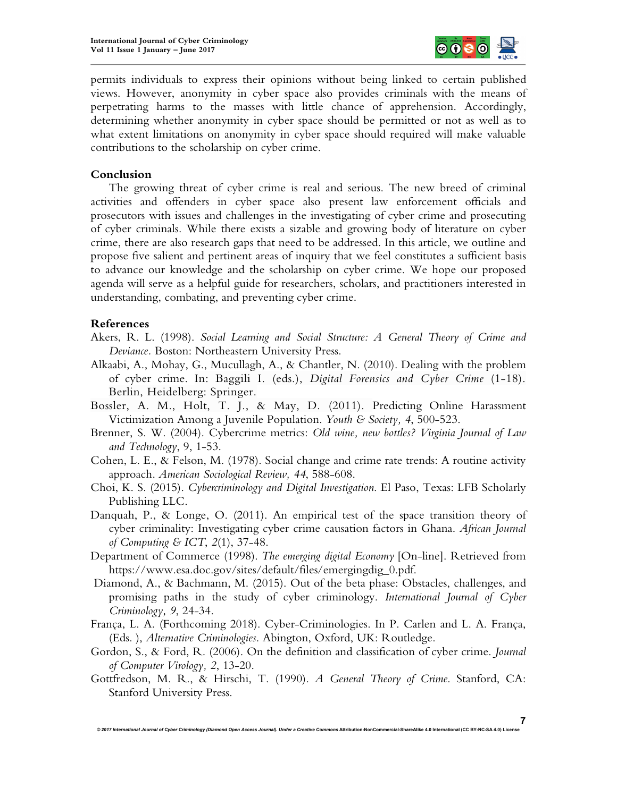

permits individuals to express their opinions without being linked to certain published views. However, anonymity in cyber space also provides criminals with the means of perpetrating harms to the masses with little chance of apprehension. Accordingly, determining whether anonymity in cyber space should be permitted or not as well as to what extent limitations on anonymity in cyber space should required will make valuable contributions to the scholarship on cyber crime.

### **Conclusion**

The growing threat of cyber crime is real and serious. The new breed of criminal activities and offenders in cyber space also present law enforcement officials and prosecutors with issues and challenges in the investigating of cyber crime and prosecuting of cyber criminals. While there exists a sizable and growing body of literature on cyber crime, there are also research gaps that need to be addressed. In this article, we outline and propose five salient and pertinent areas of inquiry that we feel constitutes a sufficient basis to advance our knowledge and the scholarship on cyber crime. We hope our proposed agenda will serve as a helpful guide for researchers, scholars, and practitioners interested in understanding, combating, and preventing cyber crime.

#### **References**

- Akers, R. L. (1998). *Social Learning and Social Structure: A General Theory of Crime and Deviance.* Boston: Northeastern University Press.
- Alkaabi, A., Mohay, G., Mucullagh, A., & Chantler, N. (2010). Dealing with the problem of cyber crime. In: Baggili I. (eds.), *Digital Forensics and Cyber Crime* (1-18). Berlin, Heidelberg: Springer.
- Bossler, A. M., Holt, T. J., & May, D. (2011). Predicting Online Harassment Victimization Among a Juvenile Population. *Youth & Society, 4*, 500-523.
- Brenner, S. W. (2004). Cybercrime metrics: *Old wine, new bottles? Virginia Journal of Law and Technology*, 9, 1-53.
- Cohen, L. E., & Felson, M. (1978). Social change and crime rate trends: A routine activity approach. *American Sociological Review, 44*, 588-608.
- Choi, K. S. (2015). *Cybercriminology and Digital Investigation*. El Paso, Texas: LFB Scholarly Publishing LLC.
- Danquah, P., & Longe, O. (2011). An empirical test of the space transition theory of cyber criminality: Investigating cyber crime causation factors in Ghana. *African Journal of Computing & ICT*, *2*(1), 37-48.
- Department of Commerce (1998). *The emerging digital Economy* [On-line]. Retrieved from https://www.esa.doc.gov/sites/default/files/emergingdig\_0.pdf.
- Diamond, A., & Bachmann, M. (2015). Out of the beta phase: Obstacles, challenges, and promising paths in the study of cyber criminology. *International Journal of Cyber Criminology, 9*, 24-34.
- França, L. A. (Forthcoming 2018). Cyber-Criminologies. In P. Carlen and L. A. França, (Eds. ), *Alternative Criminologies*. Abington, Oxford, UK: Routledge.
- Gordon, S., & Ford, R. (2006). On the definition and classification of cyber crime. *Journal of Computer Virology, 2*, 13-20.
- Gottfredson, M. R., & Hirschi, T. (1990). *A General Theory of Crime*. Stanford, CA: Stanford University Press.

**7**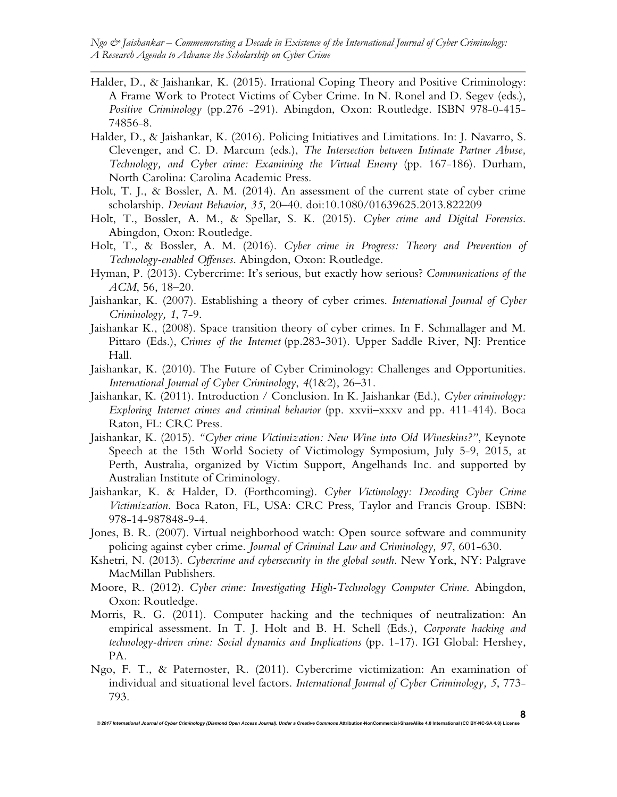- Halder, D., & Jaishankar, K. (2015). Irrational Coping Theory and Positive Criminology: A Frame Work to Protect Victims of Cyber Crime. In N. Ronel and D. Segev (eds.), *Positive Criminology* (pp.276 -291). Abingdon, Oxon: Routledge. ISBN 978-0-415- 74856-8.
- Halder, D., & Jaishankar, K. (2016). Policing Initiatives and Limitations. In: J. Navarro, S. Clevenger, and C. D. Marcum (eds.), *The Intersection between Intimate Partner Abuse, Technology, and Cyber crime: Examining the Virtual Enemy* (pp. 167-186). Durham, North Carolina: Carolina Academic Press.
- Holt, T. J., & Bossler, A. M. (2014). An assessment of the current state of cyber crime scholarship. *Deviant Behavior, 35,* 20–40. doi:10.1080/01639625.2013.822209
- Holt, T., Bossler, A. M., & Spellar, S. K. (2015). *Cyber crime and Digital Forensics*. Abingdon, Oxon: Routledge.
- Holt, T., & Bossler, A. M. (2016). *Cyber crime in Progress: Theory and Prevention of Technology-enabled Offenses*. Abingdon, Oxon: Routledge.
- Hyman, P. (2013). Cybercrime: It's serious, but exactly how serious? *Communications of the ACM*, 56, 18–20.
- Jaishankar, K. (2007). Establishing a theory of cyber crimes. *International Journal of Cyber Criminology, 1*, 7-9.
- Jaishankar K., (2008). Space transition theory of cyber crimes. In F. Schmallager and M. Pittaro (Eds.), *Crimes of the Internet* (pp.283-301). Upper Saddle River, NJ: Prentice Hall.
- Jaishankar, K. (2010). The Future of Cyber Criminology: Challenges and Opportunities. *International Journal of Cyber Criminology*, *4*(1&2), 26–31.
- Jaishankar, K. (2011). Introduction / Conclusion. In K. Jaishankar (Ed.), *Cyber criminology: Exploring Internet crimes and criminal behavior* (pp. xxvii–xxxv and pp. 411-414). Boca Raton, FL: CRC Press.
- Jaishankar, K. (2015). *"Cyber crime Victimization: New Wine into Old Wineskins?"*, Keynote Speech at the 15th World Society of Victimology Symposium, July 5-9, 2015, at Perth, Australia, organized by Victim Support, Angelhands Inc. and supported by Australian Institute of Criminology.
- Jaishankar, K. & Halder, D. (Forthcoming). *Cyber Victimology: Decoding Cyber Crime Victimization*. Boca Raton, FL, USA: CRC Press, Taylor and Francis Group. ISBN: 978-14-987848-9-4.
- Jones, B. R. (2007). Virtual neighborhood watch: Open source software and community policing against cyber crime. *Journal of Criminal Law and Criminology, 97*, 601-630.
- Kshetri, N. (2013). *Cybercrime and cybersecurity in the global south*. New York, NY: Palgrave MacMillan Publishers.
- Moore, R. (2012). *Cyber crime: Investigating High-Technology Computer Crime*. Abingdon, Oxon: Routledge.
- Morris, R. G. (2011). Computer hacking and the techniques of neutralization: An empirical assessment. In T. J. Holt and B. H. Schell (Eds.), *Corporate hacking and technology-driven crime: Social dynamics and Implications* (pp. 1-17). IGI Global: Hershey, PA.
- Ngo, F. T., & Paternoster, R. (2011). Cybercrime victimization: An examination of individual and situational level factors. *International Journal of Cyber Criminology, 5*, 773- 793.

 $@$  2017 International Journal of Cyber Criminology (Diamond Open Access Journal). Under a Creative Commons Attribution-NonCommercial-ShareAlike 4.0 International (CC BY-NC-SA 4.0) Lice

**8**